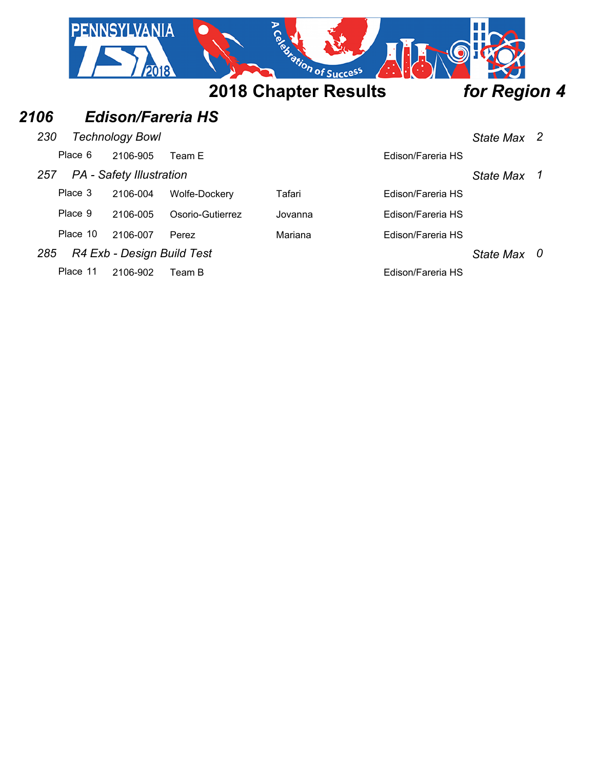|      |          | <b>PENNSYLVANIA</b>             |                  | Registration of Success     |                   |                  |   |
|------|----------|---------------------------------|------------------|-----------------------------|-------------------|------------------|---|
|      |          |                                 |                  | <b>2018 Chapter Results</b> |                   | for Region 4     |   |
| 2106 |          | <b>Edison/Fareria HS</b>        |                  |                             |                   |                  |   |
| 230  |          | <b>Technology Bowl</b>          |                  |                             |                   | State Max 2      |   |
|      | Place 6  | 2106-905                        | Team E           |                             | Edison/Fareria HS |                  |   |
| 257  |          | <b>PA</b> - Safety Illustration |                  |                             |                   | <b>State Max</b> | 1 |
|      | Place 3  | 2106-004                        | Wolfe-Dockery    | Tafari                      | Edison/Fareria HS |                  |   |
|      | Place 9  | 2106-005                        | Osorio-Gutierrez | Jovanna                     | Edison/Fareria HS |                  |   |
|      | Place 10 | 2106-007                        | Perez            | Mariana                     | Edison/Fareria HS |                  |   |
| 285  |          | R4 Exb - Design Build Test      |                  |                             |                   | State Max        | 0 |
|      | Place 11 | 2106-902                        | Team B           |                             | Edison/Fareria HS |                  |   |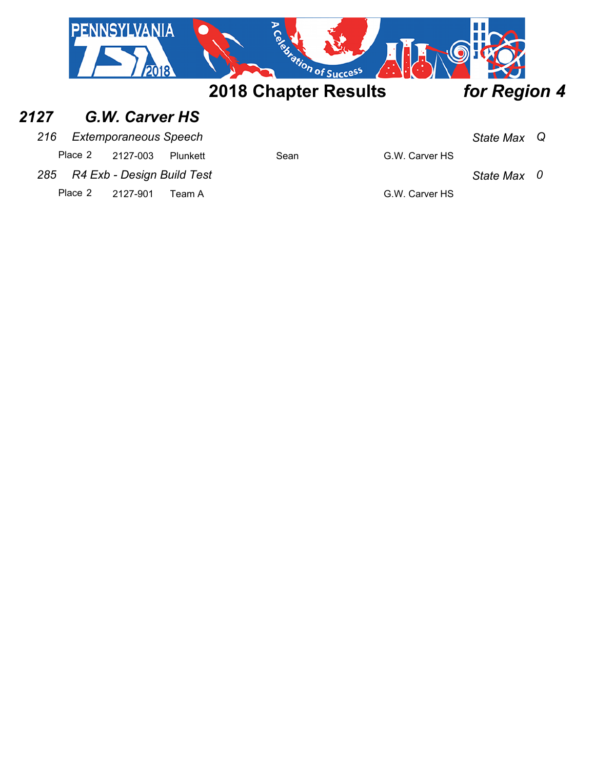

#### *2127 G.W. Carver HS*

#### *216 Extemporaneous Speech State Max Q*

Place 2 2127-003 Plunkett Sean G.W. Carver HS

*285 R4 Exb - Design Build Test State Max 0*

Place 2 2127-901 Team A G.W. Carver HS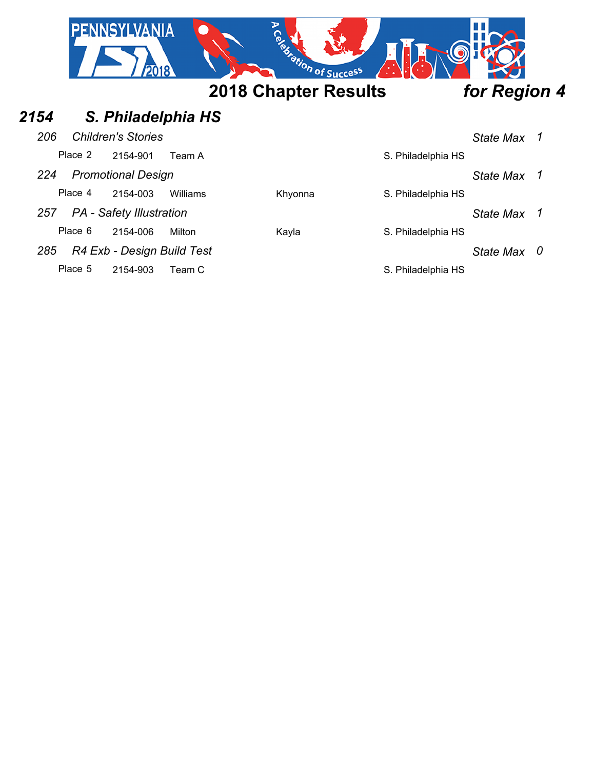|      |         | <b>PENNSYLVANIA</b><br>2018     |                    | Registration of Success     |                    |                       |
|------|---------|---------------------------------|--------------------|-----------------------------|--------------------|-----------------------|
|      |         |                                 |                    | <b>2018 Chapter Results</b> |                    | for Region 4          |
| 2154 |         |                                 | S. Philadelphia HS |                             |                    |                       |
| 206  |         | <b>Children's Stories</b>       |                    |                             |                    | 1<br><b>State Max</b> |
|      | Place 2 | 2154-901                        | Team A             |                             | S. Philadelphia HS |                       |
| 224  |         | <b>Promotional Design</b>       |                    |                             |                    | <b>State Max</b><br>1 |
|      | Place 4 | 2154-003                        | Williams           | Khyonna                     | S. Philadelphia HS |                       |
| 257  |         | <b>PA</b> - Safety Illustration |                    |                             |                    | State Max 1           |
|      | Place 6 | 2154-006                        | Milton             | Kayla                       | S. Philadelphia HS |                       |
| 285  |         | R4 Exb - Design Build Test      |                    |                             |                    | 0<br>State Max        |
|      | Place 5 | 2154-903                        | Team C             |                             | S. Philadelphia HS |                       |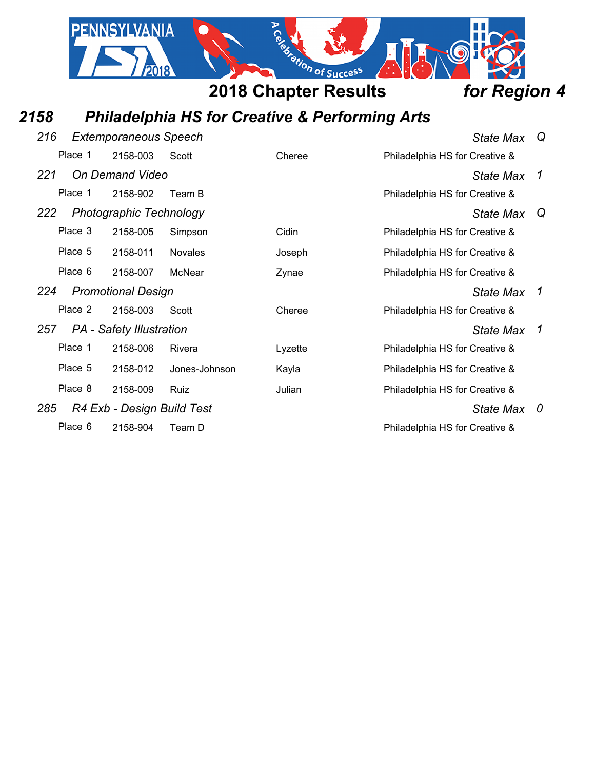

# *2158 Philadelphia HS for Creative & Performing Arts*

| 216 |         | <b>Extemporaneous Speech</b>    |                | <b>State Max</b> | Q                              |              |
|-----|---------|---------------------------------|----------------|------------------|--------------------------------|--------------|
|     | Place 1 | 2158-003                        | Scott          | Cheree           | Philadelphia HS for Creative & |              |
| 221 |         | On Demand Video                 |                |                  | <b>State Max</b>               | $\mathcal I$ |
|     | Place 1 | 2158-902                        | Team B         |                  | Philadelphia HS for Creative & |              |
| 222 |         | <b>Photographic Technology</b>  |                |                  | State Max                      | Q            |
|     | Place 3 | 2158-005                        | Simpson        | Cidin            | Philadelphia HS for Creative & |              |
|     | Place 5 | 2158-011                        | <b>Novales</b> | Joseph           | Philadelphia HS for Creative & |              |
|     | Place 6 | 2158-007                        | McNear         | Zynae            | Philadelphia HS for Creative & |              |
| 224 |         | <b>Promotional Design</b>       |                |                  | <b>State Max</b>               | 1            |
|     |         |                                 |                |                  |                                |              |
|     | Place 2 | 2158-003                        | Scott          | Cheree           | Philadelphia HS for Creative & |              |
| 257 |         | <b>PA</b> - Safety Illustration |                |                  | <b>State Max</b>               | 1            |
|     | Place 1 | 2158-006                        | Rivera         | Lyzette          | Philadelphia HS for Creative & |              |
|     | Place 5 | 2158-012                        | Jones-Johnson  | Kayla            | Philadelphia HS for Creative & |              |
|     | Place 8 | 2158-009                        | <b>Ruiz</b>    | Julian           | Philadelphia HS for Creative & |              |
| 285 |         | R4 Exb - Design Build Test      |                |                  | State Max                      | 0            |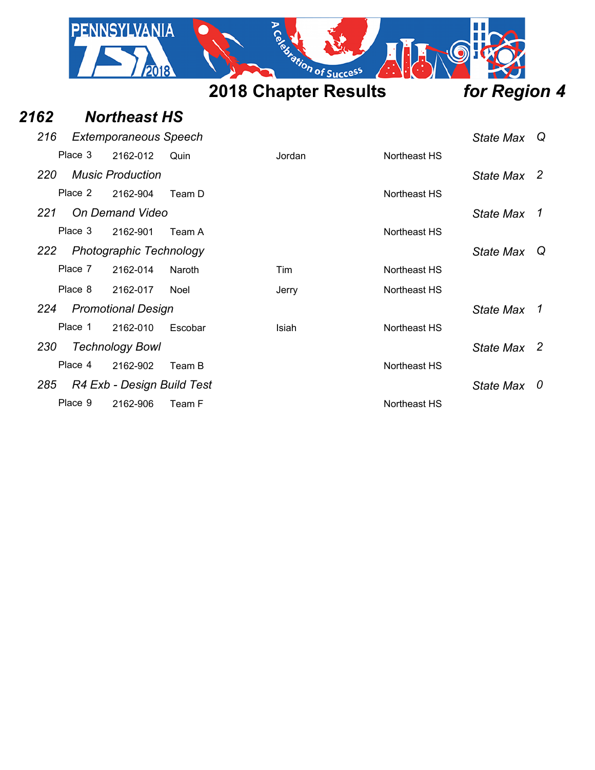

#### *2162 Northeast HS*

| 216     | <b>Extemporaneous Speech</b>   |             |        |              | State Max   | Q |
|---------|--------------------------------|-------------|--------|--------------|-------------|---|
| Place 3 | 2162-012                       | Quin        | Jordan | Northeast HS |             |   |
| 220     | <b>Music Production</b>        |             |        |              | State Max 2 |   |
| Place 2 | 2162-904                       | Team D      |        | Northeast HS |             |   |
| 221     | On Demand Video                |             |        |              | State Max   | 1 |
| Place 3 | 2162-901                       | Team A      |        | Northeast HS |             |   |
| 222     | <b>Photographic Technology</b> |             |        |              | State Max   | Q |
| Place 7 | 2162-014                       | Naroth      | Tim    | Northeast HS |             |   |
| Place 8 | 2162-017                       | <b>Noel</b> | Jerry  | Northeast HS |             |   |
| 224     | <b>Promotional Design</b>      |             |        |              | State Max   | 1 |
| Place 1 | 2162-010                       | Escobar     | Isiah  | Northeast HS |             |   |
| 230     | <b>Technology Bowl</b>         |             |        |              | State Max 2 |   |
| Place 4 | 2162-902                       | Team B      |        | Northeast HS |             |   |
| 285     | R4 Exb - Design Build Test     |             |        |              | State Max   | 0 |
| Place 9 | 2162-906                       | Team F      |        | Northeast HS |             |   |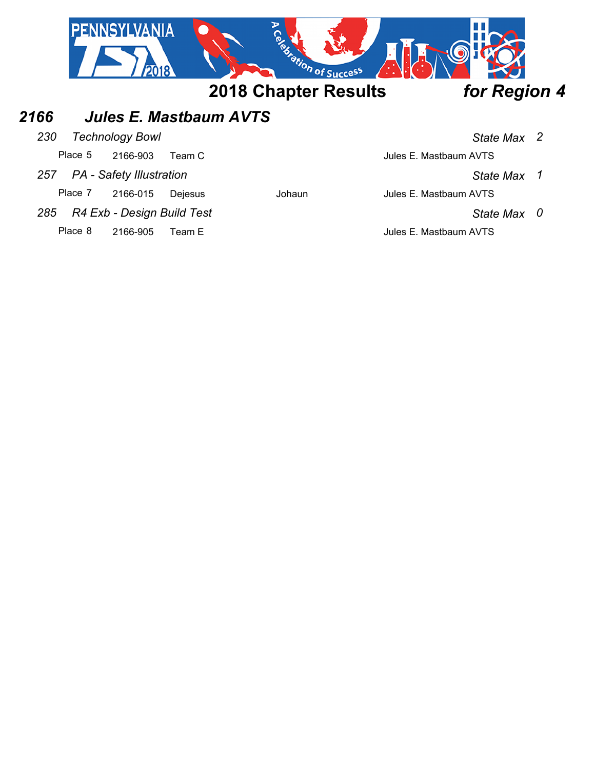

Place 8 2166-905 Team E 3 2001 1 3 Jules E. Mastbaum AVTS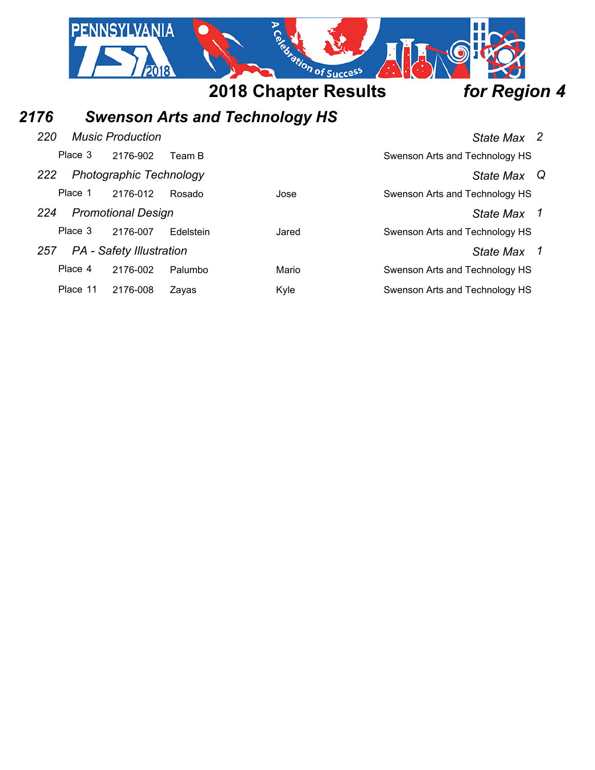

# *2176 Swenson Arts and Technology HS*

| 220      | <b>Music Production</b>         |           |       | State Max 2                    |
|----------|---------------------------------|-----------|-------|--------------------------------|
| Place 3  | 2176-902                        | Team B    |       | Swenson Arts and Technology HS |
| 222      | <b>Photographic Technology</b>  |           |       | State Max Q                    |
| Place 1  | 2176-012                        | Rosado    | Jose  | Swenson Arts and Technology HS |
| 224      | <b>Promotional Design</b>       |           |       | State Max 1                    |
| Place 3  | 2176-007                        | Edelstein | Jared | Swenson Arts and Technology HS |
| 257      | <b>PA</b> - Safety Illustration |           |       | State Max 1                    |
| Place 4  | 2176-002                        | Palumbo   | Mario | Swenson Arts and Technology HS |
| Place 11 | 2176-008                        | Zavas     | Kyle  | Swenson Arts and Technology HS |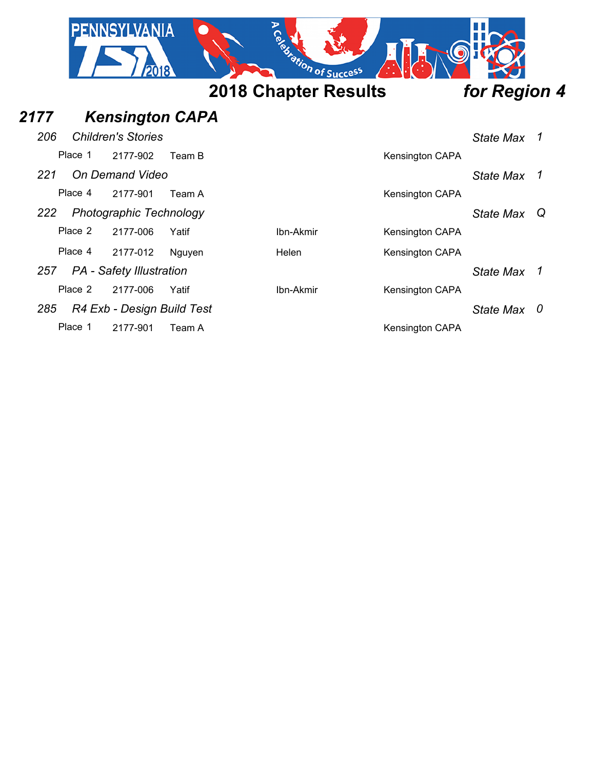|         |         | PENNSYLVANIA                    |        | Ce distintion of Success    |                 |                  |   |
|---------|---------|---------------------------------|--------|-----------------------------|-----------------|------------------|---|
|         |         |                                 |        | <b>2018 Chapter Results</b> |                 | for Region 4     |   |
| 2177    |         | <b>Kensington CAPA</b>          |        |                             |                 |                  |   |
| 206     |         | <b>Children's Stories</b>       |        |                             |                 | <b>State Max</b> | 1 |
| Place 1 |         | 2177-902                        | Team B |                             | Kensington CAPA |                  |   |
| 221     |         | On Demand Video                 |        |                             |                 | <b>State Max</b> | 1 |
|         | Place 4 | 2177-901                        | Team A |                             | Kensington CAPA |                  |   |
| 222     |         | Photographic Technology         |        |                             |                 | <b>State Max</b> | Q |
|         | Place 2 | 2177-006                        | Yatif  | Ibn-Akmir                   | Kensington CAPA |                  |   |
|         | Place 4 | 2177-012                        | Nguyen | Helen                       | Kensington CAPA |                  |   |
| 257     |         | <b>PA</b> - Safety Illustration |        |                             |                 | <b>State Max</b> | 1 |
|         | Place 2 | 2177-006                        | Yatif  | Ibn-Akmir                   | Kensington CAPA |                  |   |
| 285     |         | R4 Exb - Design Build Test      |        |                             |                 | State Max        | 0 |
| Place 1 |         | 2177-901                        | Team A |                             | Kensington CAPA |                  |   |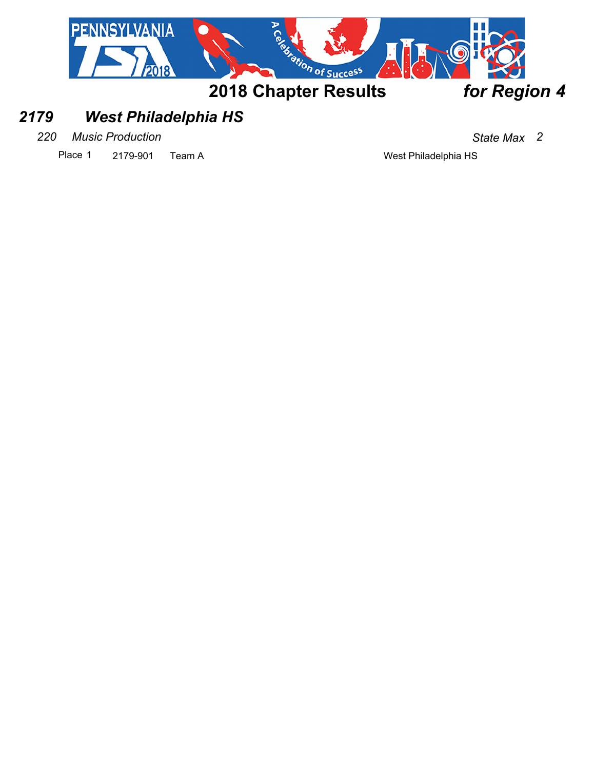

### *2179 West Philadelphia HS*

*220 Music Production State Max 2*

Place 1 2179-901 Team A West Philadelphia HS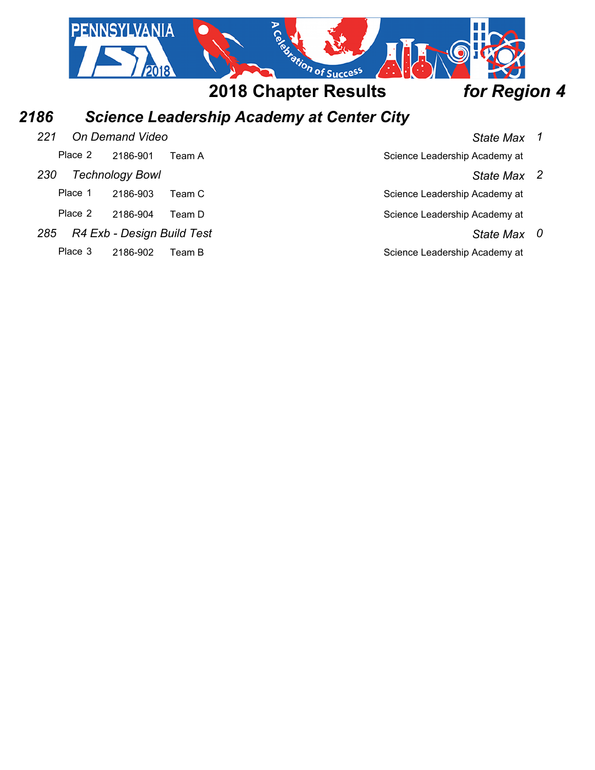

# *2186 Science Leadership Academy at Center City*

| 221     | On Demand Video            |         | <b>State Max</b>              | $\mathbf{1}$ |
|---------|----------------------------|---------|-------------------------------|--------------|
| Place 2 | 2186-901                   | Team A  | Science Leadership Academy at |              |
| 230     | <b>Technology Bowl</b>     |         | State Max 2                   |              |
| Place 1 | 2186-903                   | Team Cl | Science Leadership Academy at |              |
| Place 2 | 2186-904                   | Team D  | Science Leadership Academy at |              |
| 285     | R4 Exb - Design Build Test |         | State Max 0                   |              |
| Place 3 | 2186-902                   | Team B  | Science Leadership Academy at |              |